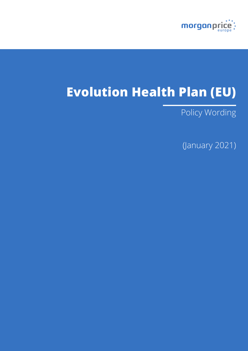

# **Evolution Health Plan (EU)**

Policy Wording

(January 2021)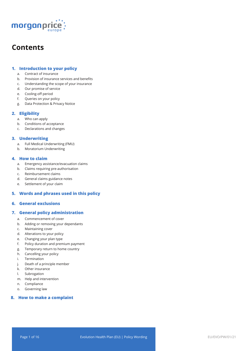

### **Contents**

#### **1. Introduction to your policy**

- a. Contract of insurance
- b. Provision of insurance services and benefits
- c. Understanding the scope of your insurance
- d. Our promise of service
- e. Cooling-off period
- f. Queries on your policy
- g. Data Protection & Privacy Notice

#### **2. Eligibility**

- a. Who can apply
- b. Conditions of acceptance
- c. Declarations and changes

#### **3. Underwriting**

- a. Full Medical Underwriting (FMU)
- b. Moratorium Underwriting

#### **4. How to claim**

- a. Emergency assistance/evacuation claims
- b. Claims requiring pre-authorisation
- c. Reimbursement claims
- d. General claims guidance notes
- e. Settlement of your claim

#### **5. Words and phrases used in this policy**

#### **6. General exclusions**

#### **7. General policy administration**

- a. Commencement of cover
- b. Adding or removing your dependants
- c. Maintaining cover
- d. Alterations to your policy
- e. Changing your plan type
- f. Policy duration and premium payment
- g. Temporary return to home country
- h. Cancelling your policy
- i. Termination
- j. Death of a principle member
- k. Other insurance
- l. Subrogation
- m. Help and intervention
- n. Compliance
- o. Governing law

#### **8. How to make a complaint**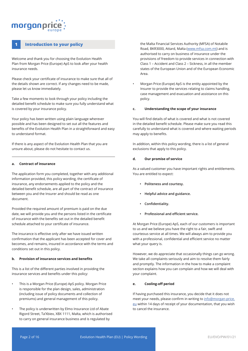## morganpri

#### **1 Introduction to your policy**

Welcome and thank you for choosing the Evolution Health Plan from Morgan Price (Europe) ApS to look after your health insurance needs.

Please check your certificate of insurance to make sure that all of the details shown are correct. If any changes need to be made, please let us know immediately.

Take a few moments to look through your policy including the detailed benefit schedule to make sure you fully understand what is covered by your insurance policy.

Your policy has been written using plain language wherever possible and has been designed to set out all the features and benefits of the Evolution Health Plan in a straightforward and easy to understand format.

If there is any aspect of the Evolution Health Plan that you are unsure about, please do not hesitate to contact us.

#### **a. Contract of insurance**

The application form you completed, together with any additional information provided, this policy wording, the certificate of insurance, any endorsements applied to the policy and the detailed benefit schedule, are all part of the contract of insurance between you and the Insurer and should be read as one document.

Provided the required amount of premium is paid on the due date, we will provide you and the persons listed in the certificate of insurance with the benefits set out in the detailed benefit schedule attached to your certificate of insurance.

The insurance is effective only after we have issued written confirmation that the applicant has been accepted for cover and becomes, and remains, insured in accordance with the terms and conditions set out in this policy.

#### **b. Provision of insurance services and benefits**

This is a list of the different parties involved in providing the insurance services and benefits under this policy:

- This is a Morgan Price (Europe) ApS policy. Morgan Price is responsible for the plan design, sales, administration (including issue of policy documents and collection of premiums) and general management of this policy.
- The policy is underwritten by Elmo Insurance Ltd of Abate Rigord Street, Ta'Xbiex, XBX 1111, Malta, which is authorised to carry on general insurance business and is regulated by

the Malta Financial Services Authority (MFSA) of Notabile Road, BKR3000, Attard, Malta (www.mfsa.com.mt) and is authorised to carry on business of insurance under the provisions of freedom to provide services in connection with Class 1 – Accident and Class 2 – Sickness, in all the member states of the European Union and of the European Economic Area.

• Morgan Price (Europe) ApS is the entity appointed by the Insurer to provide the services relating to claims handling, case management and evacuation and assistance on this policy.

#### **c. Understanding the scope of your insurance**

You will find details of what is covered and what is not covered in the detailed benefit schedule. Please make sure you read this carefully to understand what is covered and where waiting periods may apply to benefits.

In addition, within this policy wording, there is a list of general exclusions that apply to this policy.

#### **d. Our promise of service**

As a valued customer you have important rights and entitlements. You are entitled to expect:

- **• Politeness and courtesy.**
- **• Helpful advice and guidance.**
- **• Confidentiality.**
- **• Professional and efficient service.**

At Morgan Price (Europe) ApS, each of our customers is important to us and we believe you have the right to a fair, swift and courteous service at all times. We will always aim to provide you with a professional, confidential and efficient service no matter what your query is.

However, we do appreciate that occasionally things can go wrong. We take all complaints seriously and aim to resolve them fairly and promptly. The information in the how to make a complaint section explains how you can complain and how we will deal with your complaint.

#### **e. Cooling-off period**

If having purchased this insurance, you decide that it does not meet your needs, please confirm in writing to info@morgan-price. eu within 14 days of receipt of your documentation, that you wish to cancel the insurance.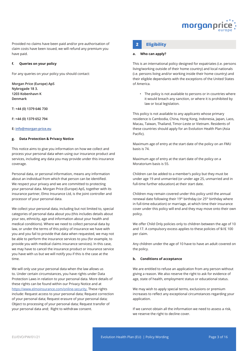

Provided no claims have been paid and/or pre-authorisation of **2 Eligibility** claim costs have been issued, we will refund any premium you have paid.

#### **f. Queries on your policy**

For any queries on your policy you should contact:

**Morgan Price (Europe) ApS Nybrogade 18 3. 1203 Kobenhavn K Denmark**

**T: +44 (0) 1379 646 730**

**F: +44 (0) 1379 652 794**

#### **E: info@morgan-price.eu**

#### **g. Data Protection & Privacy Notice**

This notice aims to give you information on how we collect and process your personal data when using our insurance product and services, including any data you may provide under this insurance coverage.

Personal data, or personal information, means any information about an individual from which that person can be identified. We respect your privacy and we are committed to protecting your personal data. Morgan Price (Europe) ApS, together with its insurance partner, Elmo Insurance Ltd, is the joint controller and processor of your personal data.

We collect your personal data, including but not limited to, special categories of personal data about you (this includes details about your sex, ethnicity, age and information about your health and medical conditions). Where we need to collect personal data by law, or under the terms of this policy of insurance we have with you and you fail to provide that data when requested, we may not be able to perform the insurance services to you (for example, to provide you with medical claims insurance services). In this case, we may have to cancel the insurance product or insurance service you have with us but we will notify you if this is the case at the time.

We will only use your personal data when the law allows us to. Under certain circumstances, you have rights under Data Protection Laws in relation to your personal data. More details of these rights can be found within our Privacy Notice and at https://www.elmoinsurance.com/online-security. These rights include: Request access to your personal data; Request correction of your personal data; Request erasure of your personal data; Object to processing of your personal data; Request transfer of your personal data and; Right to withdraw consent.

#### **a. Who can apply?**

This is an international policy designed for expatriates (i.e. persons living/working outside of their home country) and local nationals (i.e. persons living and/or working inside their home country) and their eligible dependants with the exceptions of the United States of America.

• The policy is not available to persons or in countries where it would breach any sanction, or where it is prohibited by law or local legislation.

This policy is not available to any applicants whose primary residence is Cambodia, China, Hong Kong, Indonesia, Japan, Laos, Macau, Taiwan, Thailand, Timor-Leste or Vietnam. Residents of these countries should apply for an Evolution Health Plan (Asia Pacific).

Maximum age of entry at the start date of the policy on an FMU basis is 74.

Maximum age of entry at the start date of the policy on a Moratorium basis is 55.

Children can be added to a member's policy but they must be under age 19 and unmarried (or under age 25, unmarried and in full-time further education) at their start date.

Children may remain covered under this policy until the annual renewal date following their 19<sup>th</sup> birthday (or 25<sup>th</sup> birthday where in full-time education) or marriage, at which time their insurance cover under this policy will end and they may move onto their own policy.

We offer Child Only policies only to children between the age of 10 and 17. A compulsory excess applies to these policies of \$//£ 100 per claim.

Any children under the age of 10 have to have an adult covered on the policy.

#### **b. Conditions of acceptance**

We are entitled to refuse an application from any person without giving a reason. We also reserve the right to ask for evidence of age, state of health, employment status or educational status.

We may wish to apply special terms, exclusions or premium increases to reflect any exceptional circumstances regarding your application.

If we cannot obtain all the information we need to assess a risk, we reserve the right to decline cover.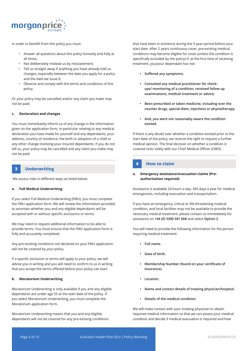

In order to benefit from this policy you must:

- Answer all questions about this policy honestly and fully at all times;
- Not deliberately mislead us by misstatement;
- Tell us straight away if anything you have already told us changes, especially between the date you apply for a policy and the date we issue it;
- Observe and comply with the terms and conditions of this policy.

Or your policy may be cancelled and/or any claim you make may not be paid.

#### **c. Declaration and changes**

You must immediately inform us of any change in the information given on the application form, in-particular relating to any medical declaration you have made for yourself and any dependants, your address, country of residence, the birth or adoption of a child or any other change involving your insured dependants. If you do not tell us, your policy may be cancelled and any claim you make may not be paid.

#### **3 Underwriting**

We assess risks in different ways as listed below:

#### **a. Full Medical Underwriting**

If you select Full Medical Underwriting (FMU), you must complete the FMU application form. We will review the information provided to ascertain whether you and any eligible dependants will be accepted with or without specific exclusions or terms.

We may need to request additional information to be able to provide terms. You must ensure that the FMU application form is fully and accurately completed.

Any pre-existing conditions not declared on your FMU application will not be covered by your policy.

If a specific exclusion or terms will apply to your policy, we will advise you in writing and you will need to confirm to us in writing that you accept the terms offered before your policy can start.

#### **b. Moratorium Underwriting**

Moratorium Underwriting is only available if you and any eligible dependants are under age 55 at the start date of the policy. If you select Moratorium Underwriting, you must complete the Moratorium application form.

Moratorium Underwriting means that you and any eligible dependants will not be covered for any pre-existing conditions

that have been in existence during the 5-year period before your start date. After 2 years continuous cover, pre-existing medical conditions may become eligible for cover (unless the condition is specifically excluded by the policy) if, at the first time of receiving treatment, you/your dependant has not:

- **• Suffered any symptoms;**
- **• Consulted any medical practitioner for checkups/ monitoring of a condition, received follow up examinations, medical treatment or advice;**
- **• Been prescribed or taken medicine, including over the counter drugs, special diets, injections or physiotherapy;**
- **• And, you were not reasonably aware the condition existed.**

If there is any doubt over whether a condition existed prior to the start date of the policy, we reserve the right to request a further medical opinion. The final decision on whether a condition is covered rests solely with our Chief Medical Officer (CMO).

#### **4 How to claim**

#### **a. Emergency assistance/evacuation claims )Preauthorisation required)**

Assistance is available 24-hours a day, 365 days a year for medical emergencies, including evacuation and transportation.

If you have an emergency, critical or life-threatening medical condition, and local facilities may not be available to provide the necessary medical treatment, please contact us immediately for assistance on **+44 (0) 3300 581 668** and select **Option 2**.

You will need to provide the following information for the person requiring medical treatment:

- **• Full name.**
- **• Date of birth.**
- **• Membership Number (found on your certificate of insurance).**
- **• Location.**
- **• Name and contact details of treating physician/hospital.**
- **• Details of the medical condition.**

We will make contact with your treating physician to obtain required medical information so that we can assess your medical condition and decide if medical evacuation is required and how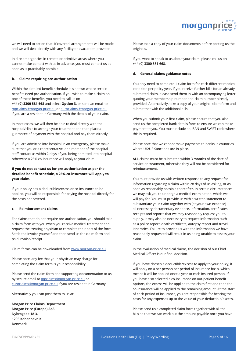

we will need to action that. If covered, arrangements will be made and we will deal directly with any facility or evacuation provider.

In dire emergencies in remote or primitive areas where you cannot make contact with us in advance, you must contact us as soon as is practicably possible.

#### **b. Claims requiring pre-authorisation**

Within the detailed benefit schedule it is shown where certain benefits need pre-authorisation. If you wish to make a claim on one of these benefits, you need to call us on

**+44 (0) 3300 581 668** and select **Option 3,** or send an email to mpclaims@morgan-price.eu or euroclaims@morgan-price.eu if you are a resident in Germany, with the details of your claim.

In most cases, we will then be able to deal directly with the hospital/clinic to arrange your treatment and then place a guarantee of payment with the hospital and pay them directly.

If you are admitted into hospital in an emergency, please make sure that you or a representative, or a member of the hospital staff contact us within 2 days of you being admitted into hospital otherwise a 25% co-insurance will apply to your claim.

#### **If you do not contact us for pre-authorisation as per the detailed benefit schedule, a 25% co-insurance will apply to your claim.**

If your policy has a deductible/excess or co-insurance to be applied, you will be responsible for paying the hospital directly for the costs not covered.

#### **c. Reimbursement claims**

For claims that do not require pre-authorisation, you should take a claim form with you when you receive medical treatment and request the treating physician to complete their part of the form. Settle the invoice yourself and then send us the claim form and paid invoice/receipt.

Claim forms can be downloaded from www.morgan-price.eu

Please note, any fee that your physician may charge for completing the claim form is your responsibility.

Please send the claim form and supporting documentation to us by secure email to mpclaims@morgan-price.eu or euroclaims@morgan-price.eu if you are resident in Germany.

Alternatively you can post them to us at:

**Morgan Price Claims Department Morgan Price (Europe) ApS Nybrogade 18 3. 1203 Kobenhavn K Denmark**

Please take a copy of your claim documents before posting us the originals.

If you want to speak to us about your claim, please call us on **+44 (0) 3300 581 668**.

#### **d. General claims guidance notes**

You only need to complete 1 claim form for each different medical condition per policy year. If you receive further bills for an already submitted claim, please send them in with an accompanying letter quoting your membership number and claim number already provided. Alternatively, take a copy of your original claim form and submit that with the additional bills.

When you submit your first claim, please ensure that you also send us the completed bank details form to ensure we can make payment to you. You must include an IBAN and SWIFT code where this is required.

Please note that we cannot make payments to banks in countries where UK/US Sanctions are in place.

**ALL** claims must be submitted within **3 months** of the date of service or treatment, otherwise they will not be considered for reimbursement.

You must provide us with written response to any request for information regarding a claim within 28 days of us asking, or as soon as reasonably possible thereafter. In certain circumstances we may ask you to undergo a medical examination, which we will pay for. You must provide us with a written statement to substantiate your claim together with (at your own expense) all necessary documentary evidence, information, certificates, receipts and reports that we may reasonably request you to supply. It may also be necessary to request information such as a police report, death certificate, autopsy report and travel itineraries. Failure to provide us with the information we have reasonably requested will result in us being unable to assess your claim.

In the evaluation of medical claims, the decision of our Chief Medical Officer is our final decision.

If you have chosen a deductible/excess to apply to your policy, it will apply on a per person per period of insurance basis, which means it will be applied once a year to each insured person. If you have also selected a co-insurance on out-patient benefit options, the excess will be applied to the claim first and then the co-insurance will be applied to the remaining amount. At the start of each period of insurance, you are responsible for bearing the costs for any expenses up to the value of your deductible/excess.

Please send us a completed claim form together with all the bills so that we can work out the amount payable once you have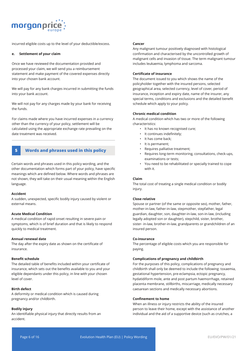

incurred eligible costs up to the level of your deductible/excess.

#### **e. Settlement of your claim**

Once we have reviewed the documentation provided and processed your claim, we will send you a reimbursement statement and make payment of the covered expenses directly into your chosen bank account.

We will pay for any bank charges incurred in submitting the funds into your bank account.

We will not pay for any charges made by your bank for receiving the funds.

For claims made where you have incurred expenses in a currency other than the currency of your policy, settlement will be calculated using the appropriate exchange rate prevailing on the date treatment was received.

#### **5 Words and phrases used in this policy**

Certain words and phrases used in this policy wording, and the other documentation which forms part of your policy, have specific meanings which are defined below. Where words and phrases are not shown, they will take on their usual meaning within the English language.

#### **Accident**

A sudden, unexpected, specific bodily injury caused by violent or external means.

#### **Acute Medical Condition**

A medical condition of rapid onset resulting in severe pain or symptoms, which is of brief duration and that is likely to respond quickly to medical treatment.

#### **Annual renewal date**

The day after the expiry date as shown on the certificate of insurance.

#### **Benefit schedule**

The detailed table of benefits included within your certificate of insurance, which sets out the benefits available to you and your eligible dependants under this policy, in line with your chosen level of cover.

#### **Birth defect**

A deformity or medical condition which is caused during pregnancy and/or childbirth.

#### **Bodily injury**

An identifiable physical injury that directly results from an accident.

#### **Cancer**

Any malignant tumour positively diagnosed with histological confirmation and characterised by the uncontrolled growth of malignant cells and invasion of tissue. The term malignant tumour includes leukaemia, lymphoma and sarcoma.

#### **Certificate of insurance**

The document issued to you which shows the name of the policyholder together with the insured persons, selected geographical area, selected currency, level of cover, period of insurance, inception and expiry date, name of the insurer, any special terms, conditions and exclusions and the detailed benefit schedule which apply to your policy.

#### **Chronic medical condition**

A medical condition which has two or more of the following characteristics:

- It has no known recognised cure;
- It continues indefinitely;
- It has come back;
- It is permanent;
- Requires palliative treatment;
- Requires long-term monitoring, consultations, check-ups, examinations or tests;
- You need to be rehabilitated or specially trained to cope with it.

#### **Claim**

The total cost of treating a single medical condition or bodily injury.

#### **Close relative**

Spouse or partner (of the same or opposite sex), mother, father, mother-in-law, father-in-law, stepmother, stepfather, legal guardian, daughter, son, daughter-in-law, son-in-law, (including legally adopted son or daughter), stepchild, sister, brother, sister- in-law, brother-in-law, grandparents or grandchildren of an insured person.

#### **Co-insurance**

The percentage of eligible costs which you are responsible for paying.

#### **Complications of pregnancy and childbirth**

For the purposes of this policy, complications of pregnancy and childbirth shall only be deemed to include the following: toxaemia, gestational hypertension, pre-eclampsia, ectopic pregnancy, hydatidiform mole, ante and post partum haemorrhage, retained placenta membrane, stillbirths, miscarriage, medically necessary caesarean sections and medically necessary abortions.

#### **Confinement to home**

When an illness or injury restricts the ability of the insured person to leave their home, except with the assistance of another individual and the aid of a supportive device (such as crutches, a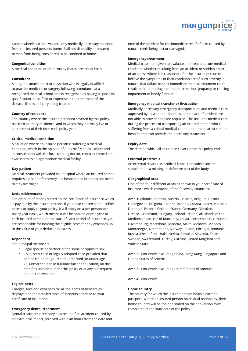

cane, a wheelchair or a walker). Any medically necessary absence from the insured person's home shall not disqualify an insured person from being considered to be confined to home.

#### **Congenital condition**

A medical condition or abnormality that is present at birth.

#### **Consultant**

A surgeon, anaesthetist or physician who is legally qualified to practice medicine or surgery following attendance at a recognised medical school, and is recognised as having a specialist qualification in the field or expertise in the treatment of the disease, illness or injury being treated.

#### **Country of residence**

The country where the insured person(s) covered by this policy has their primary residence, and in which they normally live or spend most of their time each policy year.

#### **Critical medical condition**

A situation where an insured person is suffering a medical condition, which in the opinion of our Chief Medical Officer and in consultation with the local treating doctor, requires immediate evacuation to an appropriate medical facility.

#### **Day-patient**

Medical treatment provided in a hospital where an insured person requires a period of recovery in a hospital bed but does not need to stay overnight.

#### **Deductible/excess**

The amount of money stated on the certificate of insurance which is payable by the insured person. If you have chosen a deductible/ excess to apply to your policy, it will apply on a per person per policy year basis, which means it will be applied once a year to each insured person. At the start of each period of insurance, you are responsible for bearing the eligible costs for any expenses up to the value of your deductible/excess.

#### **Dependant**

The principal member's:

- Legal spouse or partner of the same or opposite sex;
- Child, step-child or legally adopted child provided that he/she is under age 19 and unmarried (or under age 25, unmarried and in full-time further education) on the date first included under this policy or at any subsequent annual renewal date.

#### **Eligible costs**

Charges, fees and expenses for all the items of benefits as displayed on the detailed table of benefits attached to your certificate of insurance.

#### **Emergency dental treatment**

Dental treatment necessary as a result of an accident caused by an extra-oral impact, received within 48 hours from the date and time of the accident for the immediate relief of pain caused by natural teeth being lost or damaged.

#### **Emergency treatment**

Medical treatment given to evaluate and treat an acute medical condition whether resulting from an accident or sudden onset of an illness where it is reasonable for the insured person to believe the symptoms of their condition are of such severity in nature, that failure to seek immediate medical treatment could result in either placing their health in serious jeopardy or causing impairment of bodily function.

#### **Emergency medical transfer or Evacuation**

Medically necessary emergency transportation and medical care approved by us when the facilities in the place of incident are not able to provide the care required. This includes medical care during the process of transporting an insured person who is suffering from a critical medical condition to the nearest suitable hospital that can provide the necessary treatment.

#### **Expiry date**

The date on which all insurance cover under this policy ends

#### **External prosthesis**

An external device (i.e. artificial limbs) that substitutes or supplements a missing or defective part of the body.

#### **Geographical area**

One of the four different areas as shown in your certificate of insurance which comprise of the following countries:

**Area 1:** Albania, Andorra, Austria, Belarus, Belgium, Bosnia Herzegovina, Bulgaria, Channel Islands, Croatia, Czech Republic, Denmark, Estonia, Finland, France, Germany, Gibraltar, Greece, Greenland, Hungary, Iceland, Ireland, all islands of the Mediterranean, Isle of Man, Italy, Latvia, Liechtenstein, Lithuania, Luxembourg, Macedonia, Madeira, Malta, Moldova, Monaco, Montenegro, Netherlands, Norway, Poland, Portugal, Romania, Russia (West of the Urals), Serbia, Slovakia, Slovenia, Spain, Sweden, Switzerland, Turkey, Ukraine, United Kingdom and Vatican State.

**Area 2:** Worldwide excluding China, Hong Kong, Singapore and United States of America.

**Area 3:** Worldwide excluding United States of America.

**Area 4:** Worldwide.

#### **Home country**

The country for which the insured person holds a current passport. Where an insured person holds dual nationality, their home country will be the one stated on the application form completed at the start date of the policy.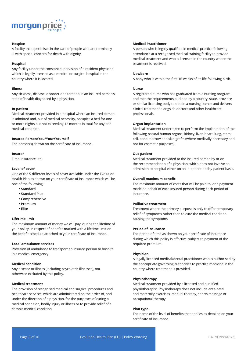

#### **Hospice**

A facility that specialises in the care of people who are terminally ill with special concern for death with dignity.

#### **Hospital**

Any facility under the constant supervision of a resident physician which is legally licensed as a medical or surgical hospital in the country where it is located.

#### **Illness**

Any sickness, disease, disorder or alteration in an insured person's state of health diagnosed by a physician.

#### **In-patient**

Medical treatment provided in a hospital where an insured person is admitted and, out of medical necessity, occupies a bed for one or more nights but not exceeding 12 months in total for any one medical condition.

#### **Insured Person/You/Your/Yourself**

The person(s) shown on the certificate of insurance.

#### **Insurer**

Elmo Insurance Ltd.

#### **Level of cover**

One of the 5 different levels of cover available under the Evolution Health Plan as shown on your certificate of insurance which will be one of the following:

- **Standard**
- **Standard Plus**
- **Comprehensive**
- **Premium**
- **Elite**

#### **Lifetime limit**

The maximum amount of money we will pay, during the lifetime of your policy, in respect of benefits marked with a lifetime limit on the benefit schedule attached to your certificate of insurance.

#### **Local ambulance services**

Provision of ambulance to transport an insured person to hospital in a medical emergency.

#### **Medical condition**

Any disease or illness (including psychiatric illnesses), not otherwise excluded by this policy.

#### **Medical treatment**

The provision of recognised medical and surgical procedures and healthcare services, which are administered on the order of, and under the direction of a physician, for the purposes of curing a medical condition, bodily injury or illness or to provide relief of a chronic medical condition.

#### **Medical Practitioner**

A person who is legally qualified in medical practice following attendance at a recognised medical training facility to provide medical treatment and who is licensed in the country where the treatment is received.

#### **Newborn**

A baby who is within the first 16 weeks of its life following birth.

#### **Nurse**

A registered nurse who has graduated from a nursing program and met the requirements outlined by a country, state, province or similar licensing body to obtain a nursing license and delivers clinical treatment alongside doctors and other healthcare professionals.

#### **Organ implantation**

Medical treatment undertaken to perform the implantation of the following natural human organs: kidney, liver, heart, lung, stem cell, bone marrow and skin grafts (where medically necessary and not for cosmetic purposes).

#### **Out-patient**

Medical treatment provided to the insured person by or on the recommendation of a physician, which does not involve an admission to hospital either on an in-patient or day-patient basis.

#### **Overall maximum benefit**

The maximum amount of costs that will be paid to, or a payment made on behalf of each insured person during each period of insurance.

#### **Palliative treatment**

Treatment where the primary purpose is only to offer temporary relief of symptoms rather than to cure the medical condition causing the symptoms.

#### **Period of insurance**

The period of time as shown on your certificate of insurance during which this policy is effective, subject to payment of the required premium.

#### **Physician**

A legally licensed medical/dental practitioner who is authorised by the appropriate governing authorities to practice medicine in the country where treatment is provided.

#### **Physiotherapy**

Medical treatment provided by a licensed and qualified physiotherapist. Physiotherapy does not include ante-natal and maternity exercises, manual therapy, sports massage or occupational therapy.

#### **Plan type**

The name of the level of benefits that applies as detailed on your certificate of insurance.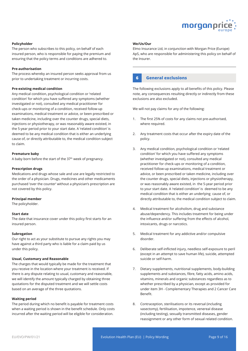

#### **Policyholder**

The person who subscribes to this policy, on behalf of each insured person, who is responsible for paying the premium and ensuring that the policy terms and conditions are adhered to.

#### **Pre-authorisation**

The process whereby an insured person seeks approval from us prior to undertaking treatment or incurring costs.

#### **Pre-existing medical condition**

Any medical condition, psychological condition or 'related condition' for which you have suffered any symptoms (whether investigated or not), consulted any medical practitioner for check-ups or monitoring of a condition, received follow-up examinations, medical treatment or advice, or been prescribed or taken medicine, including over the counter drugs, special diets, injections or physiotherapy, or was reasonably aware existed, in the 5-year period prior to your start date. A 'related condition' is deemed to be any medical condition that is either an underlying cause of, or directly attributable to, the medical condition subject to claim.

#### **Premature baby**

A baby born before the start of the 37<sup>th</sup> week of pregnancy.

#### **Prescription drugs**

Medications and drugs whose sale and use are legally restricted to the order of a physician. Drugs, medicines and other medicaments purchased 'over the counter' without a physician's prescription are not covered by this policy.

#### **Principal member**

The policyholder.

#### **Start date**

The date that insurance cover under this policy first starts for an insured person.

#### **Subrogation**

Our right to act as your substitute to pursue any rights you may have against a third party who is liable for a claim paid by us under this policy.

#### **Usual, Customary and Reasonable**

The charges that would typically be made for the treatment that you receive in the location where your treatment is received. If there is any dispute relating to usual, customary and reasonable, we will identify the amount typically charged by obtaining three quotations for the disputed treatment and we will settle costs based on an average of the three quotations.

#### **Waiting period**

The period during which no benefit is payable for treatment costs when a waiting period is shown in the benefit schedule. Only costs incurred after the waiting period will be eligible for consideration.

#### **We/Us/Our**

Elmo Insurance Ltd, in conjunction with Morgan Price (Europe) ApS, who are responsible for administering this policy on behalf of the Insurer.

#### **6 General exclusions**

The following exclusions apply to all benefits of this policy. Please note, any consequences resulting directly or indirectly from these exclusions are also excluded.

We will not pay claims for any of the following:

- 1. The first 25% of costs for any claims not pre-authorised, where required.
- 2. Any treatment costs that occur after the expiry date of the policy.
- 3. Any medical condition, psychological condition or 'related condition' for which you have suffered any symptoms (whether investigated or not), consulted any medical practitioner for check-ups or monitoring of a condition, received follow-up examinations, medical treatment or advice, or been prescribed or taken medicine, including over the counter drugs, special diets, injections or physiotherapy, or was reasonably aware existed, in the 5-year period prior to your start date. A 'related condition' is deemed to be any medical condition that is either an underlying cause of, or directly attributable to, the medical condition subject to claim.
- 4. Medical treatment for alcoholism, drug and substance abuse/dependency. This includes treatment for being under the influence and/or suffering from the effects of alcohol, intoxicants, drugs or narcotics.
- 5. Medical treatment for any addictive and/or compulsive disorder.
- 6. Deliberate self-inflicted injury, needless self-exposure to peril (except in an attempt to save human life), suicide, attempted suicide or self-harm.
- 7. Dietary supplements, nutritional supplements, body-building supplements and substances, fibre, fatty acids, amino acids, vitamins, minerals and organic substances regardless as to whether prescribed by a physician, except as provided for under item 3H - Complementary Therapies and 2 Cancer Care Benefit.
- 8. Contraception, sterilisations or its reversal (including vasectomy), fertilisation, impotence, venereal disease (including testing), sexually transmitted diseases, gender reassignment or any other form of sexual related condition.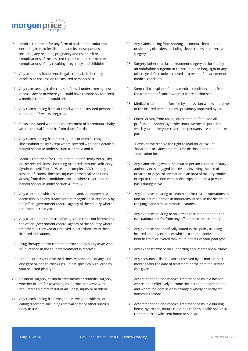

- 9. Medical treatment for any form of assisted reproduction (including in vitro fertilisation) and its consequences, including any resulting pregnancy and childbirth or complications of the assisted reproduction treatment or complications of any resulting pregnancy and childbirth.
- 10. Any act that is fraudulent, illegal, criminal, deliberately careless or reckless on the insured person's part.
- 11. Any claim arising in the course of travel undertaken against medical advice or where you could have reasonably foreseen a medical condition would arise.
- 12. Any claims arising from air travel when the insured person is more than 28 weeks pregnant.
- 13. Costs associated with medical treatment of a premature baby after the initial 2 months from date of birth.
- 14. Any claims arising from birth injuries or defects, congenital illness/abnormality except where covered within the detailed benefit schedule under section 8, items A and B.
- 15. Medical treatment for Human Immunodeficiency Virus (HIV) or HIV related illness, including Acquired Immune Deficiency Syndrome (AIDS) or AIDS related complex (ARC) and any similar infections, illnesses, injuries or medical conditions arising from these conditions, except where covered on the benefit schedule under section 4, item B.
- 16. Any treatment which is experimental and/or unproven. We deem this to be any treatment not recognised scientifically by the official government control agency of the country where treatment is received.
- 17. Any treatment and/or use of drugs/medicines not licensed by the official government control agency of the country where treatment is received or not used in accordance with their licensed indications.
- 18. Drug therapy and/or treatment provided by a physician who is unlicensed in the country treatment is received.
- 19. Routine or preventative medicines, vaccinations of any kind and general health check-ups, unless specifically covered by your selected plan type.
- 20. Cosmetic surgery, cosmetic treatments or remedial surgery, whether or not for psychological purposes, except when required as a direct result of an illness, injury or accident.
- 21. Any claims arising from weight loss, weight problems or eating disorders, including removal of fat or other surplus body tissue.
- 22. Any claims arising from snoring, insomnia, sleep apnoea or sleeping disorders, including sleep studies or corrective surgery.
- 23. Surgery (other than laser treatment surgery performed by an ophthalmic surgeon) to correct short or long sight or any other eye defect, unless caused as a result of an accident or medical condition.
- 24. Stem cell transplants for any medical condition apart from the treatment of cancer where it is pre-authorised.
- 25. Medical treatment performed by a physician who is a relative of the insured person, unless previously approved by us.
- 26. Claims arising from racing, other than on foot, and all professional sports (By professional we mean sports for which you and/or your covered dependants are paid to take part).

However, we reserve the right to load for or exclude hazardous activities that must be disclosed on the application form.

- 27. Any claim arising when the insured person is under military authority or is engaged in activities involving the use of firearms or physical combat or in an area of military conflict, except in connection with tourist trips made on a private basis during leave.
- 28. Any expenses relating to 'search and/or rescue' operations to find an insured person in mountains, at sea, in the desert, in the jungle and similar remote locations.
- 29. Any expenses relating to an air/sea rescue operation or an evacuation/transfer from any off-shore structure or ship.
- 30. Any expense not specifically stated in this policy as being insured and any expenses which exceed the individual benefit limits or overall maximum benefit of your plan type.
- 31. Any expenses where no supporting documents are available.
- 32. Any accounts, bills or invoices received by us more than 3 months after the date of treatment or the date the service was given.
- 33. Accommodation and medical treatment costs in a hospital where it has effectively become the insured person's home and where the admission is arranged wholly or partly for domestic reasons.
- 34. Accommodation and medical treatment costs in a nursing home, hydro spa, nature clinic, health farm, health spa, rest/ retirement/convalescent home or similar.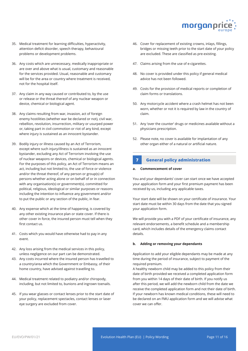

- 35. Medical treatment for learning difficulties, hyperactivity, attention deficit disorder, speech therapy, behavioural problems or development problems.
- 36. Any costs which are unnecessary, medically inappropriate or are over and above what is usual, customary and reasonable for the services provided. Usual, reasonable and customary will be for the area or country where treatment is received, not for the hospital itself.
- 37. Any claim in any way caused or contributed to, by the use or release or the threat thereof of any nuclear weapon or device, chemical or biological agent.
- 38. Any claims resulting from war, invasion, act of foreign enemy hostilities (whether war be declared or not), civil war, rebellion, revolution, insurrection, military or usurped power or, taking part in civil commotion or riot of any kind, except where injury is sustained as an innocent bystander.
- 39. Bodily injury or illness caused by an Act of Terrorism, except where such injury/illness is sustained as an innocent bystander, excluding any Act of Terrorism involving the use of nuclear weapons or devices, chemical or biological agents. For the purposes of this policy, an Act of Terrorism means an act, including but not limited to, the use of force or violence and/or the threat thereof, of any person or group(s) of persons whether acting alone or on behalf of or in connection with any organisation(s) or government(s), committed for political, religious, ideological or similar purposes or reasons including the intention to influence any government and/or to put the public or any section of the public, in fear.
- 40. Any expense which at the time of happening, is covered by any other existing insurance plan or state cover. If there is other cover in force, the insured person must tell when they first contact us.
- 41. Costs which you would have otherwise had to pay in any event.
- 42. Any loss arising from the medical services in this policy, unless negligence on our part can be demonstrated.
- 43. Any costs incurred where the insured person has travelled to a country/area which the Government or Embassy, of their home country, have advised against travelling to.
- 44. Medical treatment related to podiatry and/or chiropody, including, but not limited to, bunions and ingrown toenails.
- 45. If you wear glasses or contact lenses prior to the start date of your policy, replacement spectacles, contact lenses or laser eye surgery are excluded from cover.
- 46. Cover for replacement of existing crowns, inlays, fillings, bridges or missing teeth prior to the start date of your policy are excluded. These are classified as pre-existing.
- 47. Claims arising from the use of e-cigarettes.
- 48. No cover is provided under this policy if general medical advice has not been followed.
- 49. Costs for the provision of medical reports or completion of claim forms or translations.
- 50. Any motorcycle accident where a crash helmet has not been worn, whether or not it is required by law in the country of claim.
- 51. Any 'over the counter' drugs or medicines available without a physicians prescription.
- 52. Please note, no cover is available for implantation of any other organ either of a natural or artificial nature.

### **7 General policy administration**

#### **a. Commencement of cover**

You and your dependants' cover can start once we have accepted your application form and your first premium payment has been received by us, including any applicable taxes.

Your start date will be shown on your certificate of insurance. Your start date must be within 30 days from the date that you signed your application form.

We will provide you with a PDF of your certificate of insurance, any relevant endorsements, a benefit schedule and a membership card, which includes details of the emergency claims contact details.

#### **b. Adding or removing your dependants**

Application to add your eligible dependants may be made at any time during the period of insurance, subject to payment of the required premium.

A healthy newborn child may be added to this policy from their date of birth provided we received a completed application form from you within 14 days of their date of birth. If you notify us after this period, we will add the newborn child from the date we receive the completed application form and not their date of birth. If your newborn has known medical conditions, these will need to be declared on an FMU application form and we will advise what cover we can offer.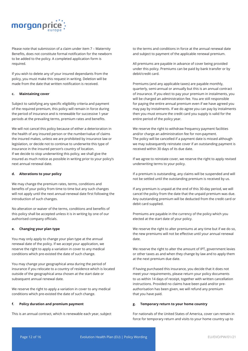

Please note that submission of a claim under item 7 – Maternity Benefits, does not constitute formal notification for the newborn to be added to the policy. A completed application form is required.

If you wish to delete any of your insured dependants from the policy, you must make this request in writing. Deletion will be made from the date that written notification is received.

#### **c. Maintaining cover**

Subject to satisfying any specific eligibility criteria and payment of the required premium, this policy will remain in force during the period of insurance and is renewable for successive 1-year periods at the prevailing terms, premium rates and benefits.

We will not cancel this policy because of either a deterioration in the health of any insured person or the number/value of claims the insured makes, unless we are prohibited by insurance law or legislation, or decide not to continue to underwrite this type of insurance in the insured person's country of location. If we decide to stop underwriting this policy, we shall give the insured as much notice as possible in writing prior to your policy's next annual renewal date.

#### **d. Alterations to your policy**

We may change the premium rates, terms, conditions and benefits of your policy from time to time but any such changes will not apply until the next annual renewal date first following the introduction of such changes.

No alteration or waiver of the terms, conditions and benefits of this policy shall be accepted unless it is in writing by one of our authorised company officials.

#### **e. Changing your plan type**

You may only apply to change your plan type at the annual renewal date of the policy. If we accept your application, we reserve the right to apply a variation in cover to any medical conditions which pre-existed the date of such change.

You may change your geographical area during the period of insurance if you relocate to a country of residence which is located outside of the geographical area chosen at the start date or subsequent annual renewal date.

We reserve the right to apply a variation in cover to any medical conditions which pre-existed the date of such change.

#### **f. Policy duration and premium payment**

This is an annual contract, which is renewable each year, subject

to the terms and conditions in force at the annual renewal date and subject to payment of the applicable renewal premium.

All premiums are payable in advance of cover being provided under this policy. Premiums can be paid by bank transfer or by debit/credit card.

Premiums (and any applicable taxes) are payable monthly, quarterly, semi-annual or annually but this is an annual contract of insurance. If you elect to pay your premium in instalments, you will be charged an administration fee. You are still responsible for paying the entire annual premium even if we have agreed you may pay by instalments. If we do agree you can pay by instalments then you must ensure the credit card you supply is valid for the entire period of the policy year.

We reserve the right to withdraw frequency payment facilities and/or charge an administration fee for non-payment. The policy will be cancelled if a payment date is missed although we may subsequently reinstate cover if an outstanding payment is received within 30 days of its due date.

If we agree to reinstate cover, we reserve the right to apply revised underwriting terms to your policy.

If a premium is outstanding, any claims will be suspended and will not be settled until the outstanding premium is received by us.

If any premium is unpaid at the end of this 30-day period, we will cancel the policy from the date that the unpaid premium was due. Any outstanding premium will be deducted from the credit card or debit card supplied.

Premiums are payable in the currency of the policy which you elected at the start date of your policy.

We reserve the right to alter premiums at any time but if we do so, the new premiums will not be effective until your annual renewal date.

We reserve the right to alter the amount of IPT, government levies or other taxes as and when they change by law and to apply them at the next premium due date.

If having purchased this insurance, you decide that it does not meet your requirements, please return your policy documents to us within 14 days of receipt, together with written cancellation instructions. Provided no claims have been paid and/or preauthorisation has been given, we will refund any premium that you have paid.

#### **g. Temporary return to your home country**

For nationals of the United States of America, cover can remain in force for temporary return and visits to your home country up to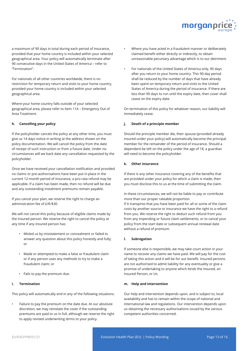

a maximum of 90 days in total during each period of insurance, provided that your home country is included within your selected geographical area. Your policy will automatically terminate after 90 consecutive days in the United States of America – refer to "Termination".

For nationals of all other countries worldwide, there is no restriction for temporary return and visits to your home country, provided your home country is included within your selected geographical area.

Where your home country falls outside of your selected geographical area, please refer to Item 11A – Emergency Out of Area Treatment.

#### **h. Cancelling your policy**

If the policyholder cancels the policy at any other time, you must give us 14 days notice in writing at the address shown on the policy documentation. We will cancel the policy from the date of receipt of such instruction or from a future date. Under no circumstances will we back date any cancellation requested by the policyholder.

Once we have received your cancellation notification and provided no claims or pre-authorisations have been put in place in the current 12-month period of insurance, a pro-rata refund may be applicable. If a claim has been made, then no refund will be due and any outstanding instalment premiums remain payable.

If you cancel your plan, we reserve the right to charge an administration fee of £/€/\$30.

We will not cancel this policy because of eligible claims made by the insured person. We reserve the right to cancel the policy at any time if any insured person has:

- Misled us by misstatement or concealment or failed to answer any question about this policy honestly and fully; or
- Made or attempted to make a false or fraudulent claim or if any person uses any methods to try to make a fraudulent claim; or
- Fails to pay the premium due.

#### **i. Termination**

This policy will automatically end in any of the following situations:

• Failure to pay the premium on the date due. At our absolute discretion, we may reinstate the cover if the outstanding premiums are paid to us in full, although we reserve the right to apply revised underwriting terms to your policy.

- Where you have acted in a fraudulent manner or deliberately claimed benefit either directly or indirectly, to obtain unreasonable pecuniary advantage which is to our detriment.
- For nationals of the United States of America only, 90 days after you return to your home country. This 90-day period shall be reduced by the number of days that have already been spent on temporary return and visits to the United States of America during the period of insurance. If there are less than 90 days to run until the expiry date, then cover shall cease on the expiry date.

On termination of this policy for whatever reason, our liability will immediately cease.

#### **j. Death of a principle member**

Should the principle member die, their spouse (provided already insured under your policy) will automatically become the principal member for the remainder of the period of insurance. Should a dependent be left on the policy under the age of 18, a guardian will need to become the policyholder.

#### **k. Other insurance**

If there is any other insurance covering any of the benefits that are provided under your policy for which a claim is made, then you must disclose this to us at the time of submitting the claim.

In these circumstances, we will not be liable to pay or contribute more than our proper rateable proportion.

If it transpires that you have been paid for all or some of the claim costs by another source or insurance we have the right to a refund from you. We reserve the right to deduct such refund from you from any impending or future claim settlements, or to cancel your policy from the start date or subsequent annual renewal date without a refund of premium.

#### **l. Subrogation**

If someone else is responsible, we may take court action in your name to recover any claims we have paid. We will pay for the cost of taking this action and it will be for our benefit. Insured persons are not authorised to admit liability for any eventuality or give a promise of undertaking to anyone which binds the Insured, an Insured Person, or Us.

#### **m. Help and intervention**

Our help and intervention depends upon, and is subject to, local availability and has to remain within the scope of national and international law and regulations. Our intervention depends upon us obtaining the necessary authorisations issued by the various competent authorities concerned.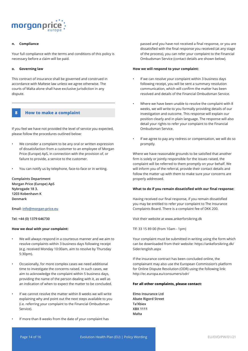

#### **n. Compliance**

Your full compliance with the terms and conditions of this policy is necessary before a claim will be paid.

#### **o. Governing law**

This contract of insurance shall be governed and construed in accordance with Maltese law unless we agree otherwise. The courts of Malta alone shall have exclusive jurisdiction in any dispute.

#### **8 How to make a complaint**

If you feel we have not provided the level of service you expected, please follow the procedures outlined below:

- We consider a complaint to be any oral or written expression of dissatisfaction from a customer to an employee of Morgan Price (Europe) ApS, in connection with the provision of, or failure to provide, a service to the customer.
- You can notify us by telephone, face-to-face or in writing.

**Complaints Department Morgan Price (Europe) ApS Nybrogade 18 3. 1203 Kobenhavn K Denmark**

#### **Email: info@morgan-price.eu**

**Tel: +44 (0) 1379 646730**

#### **How we deal with your complaint:**

- We will always respond in a courteous manner and we aim to resolve complaints within 3 business days following receipt (e.g. received Monday 10:00am, aim to resolve by Thursday 5:30pm).
- Occasionally, for more complex cases we need additional time to investigate the concerns raised. In such cases, we aim to acknowledge the complaint within 5 business days, providing the name of the person dealing with it, as well as an indication of when to expect the matter to be concluded.
- If we cannot resolve the matter within 8 weeks we will write explaining why and point out the next steps available to you (i.e. referring your complaint to the Financial Ombudsman Service).
- If more than 8 weeks from the date of your complaint has

passed and you have not received a final response, or you are dissatisfied with the final response you received (at any stage of the process), you can refer your complaint to the Financial Ombudsman Service (contact details are shown below).

#### **How we will respond to your complaint:**

- If we can resolve your complaint within 3 business days following receipt, you will be sent a summary resolution communication, which will confirm the matter has been resolved and details of the Financial Ombudsman Service.
- Where we have been unable to resolve the complaint with 8 weeks, we will write to you formally providing details of our investigation and outcome. This response will explain our position clearly and in plain language. The response will also detail your rights to refer your complaint to the Financial Ombudsman Service.
- If we agree to pay any redress or compensation, we will do so promptly.

Where we have reasonable grounds to be satisfied that another firm is solely or jointly responsible for the issues raised, the complaint will be referred to them promptly on your behalf. We will inform you of the referral, provide their contact details and follow the matter up with them to make sure your concerns are properly addressed.

#### **What to do if you remain dissatisfied with our final response:**

Having received our final response, if you remain dissatisfied you may be entitled to refer your complaint to The Insurance Complaints Board. There is a complaint fee of DKK 200.

Visit their website at www.ankerforsikring.dk

Tlf: 33 15 89 00 (from 10am - 1pm)

Your complaint must be submitted in writing using the form which can be downloaded from their website: https://ankeforsikring.dk/ Sider/english.aspx

If the insurance contract has been concluded online, the complainant may also use the European Commission's platform for Online Dispute Resolution (ODR) using the following link: http://ec.europa.eu/consumers/odr/

#### **For all other complaints, please contact:**

**Elmo Insurance Ltd Abate Rigord Street Ta'Xbiex XBX 1111 Malta**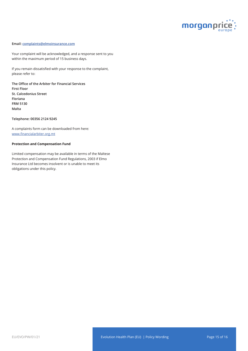

#### **Email: complaints@elmoinsurance.com**

Your complaint will be acknowledged, and a response sent to you within the maximum period of 15 business days.

If you remain dissatisfied with your response to the complaint, please refer to:

**The Office of the Arbiter for Financial Services First Floor St. Calcedonius Street Floriana FRM 5130 Malta**

#### **Telephone: 00356 2124 9245**

A complaints form can be downloaded from here: www.financialarbiter.org.mt

#### **Protection and Compensation Fund**

Limited compensation may be available in terms of the Maltese Protection and Compensation Fund Regulations, 2003 if Elmo Insurance Ltd becomes insolvent or is unable to meet its obligations under this policy.